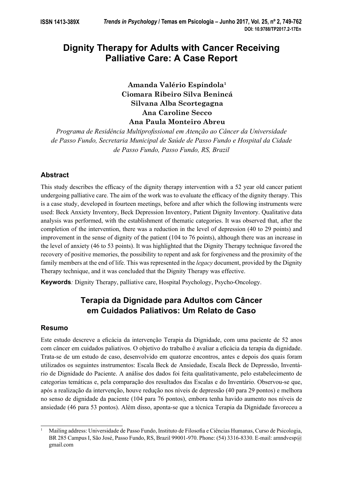# **Dignity Therapy for Adults with Cancer Receiving Palliative Care: A Case Report**

**Amanda Valério Espíndola1 Ciomara Ribeiro Silva Benincá Silvana Alba Scortegagna Ana Caroline Secco Ana Paula Monteiro Abreu**

Programa de Residência Multiprofissional em Atenção ao Câncer da Universidade *de Passo Fundo, Secretaria Municipal de Saúde de Passo Fundo e Hospital da Cidade de Passo Fundo, Passo Fundo, RS, Brazil*

## **Abstract**

This study describes the efficacy of the dignity therapy intervention with a 52 year old cancer patient undergoing palliative care. The aim of the work was to evaluate the efficacy of the dignity therapy. This is a case study, developed in fourteen meetings, before and after which the following instruments were used: Beck Anxiety Inventory, Beck Depression Inventory, Patient Dignity Inventory. Qualitative data analysis was performed, with the establishment of thematic categories. It was observed that, after the completion of the intervention, there was a reduction in the level of depression (40 to 29 points) and improvement in the sense of dignity of the patient (104 to 76 points), although there was an increase in the level of anxiety (46 to 53 points). It was highlighted that the Dignity Therapy technique favored the recovery of positive memories, the possibility to repent and ask for forgiveness and the proximity of the family members at the end of life. This was represented in the *legacy* document, provided by the Dignity Therapy technique, and it was concluded that the Dignity Therapy was effective.

**Keywords***:* Dignity Therapy, palliative care, Hospital Psychology, Psycho-Oncology.

## **Terapia da Dignidade para Adultos com Câncer em Cuidados Paliativos: Um Relato de Caso**

## **Resumo**

Este estudo descreve a eficácia da intervenção Terapia da Dignidade, com uma paciente de 52 anos com câncer em cuidados paliativos. O objetivo do trabalho é avaliar a eficácia da terapia da dignidade. Trata-se de um estudo de caso, desenvolvido em quatorze encontros, antes e depois dos quais foram utilizados os seguintes instrumentos: Escala Beck de Ansiedade, Escala Beck de Depressão, Inventário de Dignidade do Paciente. A análise dos dados foi feita qualitativamente, pelo estabelecimento de categorias temáticas e, pela comparação dos resultados das Escalas e do Inventário. Observou-se que, após a realização da intervenção, houve redução nos níveis de depressão (40 para 29 pontos) e melhora no senso de dignidade da paciente (104 para 76 pontos), embora tenha havido aumento nos níveis de ansiedade (46 para 53 pontos). Além disso, aponta-se que a técnica Terapia da Dignidade favoreceu a

<sup>1</sup> Mailing address: Universidade de Passo Fundo, Instituto de Filosofia e Ciências Humanas, Curso de Psicologia, BR 285 Campus I, São José, Passo Fundo, RS, Brazil 99001-970. Phone: (54) 3316-8330. E-mail: amndvesp@ gmail.com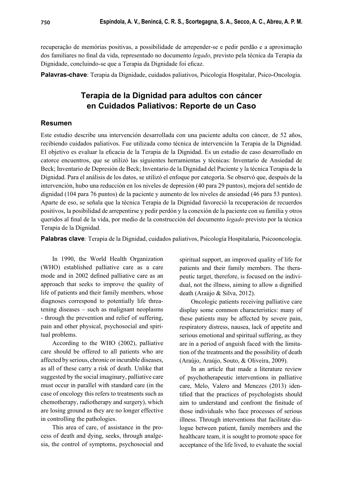recuperação de memórias positivas, a possibilidade de arrepender-se e pedir perdão e a aproximação dos familiares no final da vida, representado no documento *legado*, previsto pela técnica da Terapia da Dignidade, concluindo-se que a Terapia da Dignidade foi eficaz.

**Palavras-chave**: Terapia da Dignidade, cuidados paliativos, Psicologia Hospitalar, Psico-Oncologia.

## **Terapia de la Dignidad para adultos con cáncer en Cuidados Paliativos: Reporte de un Caso**

## **Resumen**

Este estudio describe una intervención desarrollada con una paciente adulta con cáncer, de 52 años, recibiendo cuidados paliativos. Fue utilizada como técnica de intervención la Terapia de la Dignidad. El objetivo es evaluar la eficacia de la Terapia de la Dignidad. Es un estudio de caso desarrollado en catorce encuentros, que se utilizó las siguientes herramientas y técnicas: Inventario de Ansiedad de Beck; Inventario de Depresión de Beck; Inventario de la Dignidad del Paciente y la técnica Terapia de la Dignidad. Para el análisis de los datos, se utilizó el enfoque por categoría. Se observó que, después de la intervención, hubo una reducción en los niveles de depresión (40 para 29 puntos), mejora del sentido de dignidad (104 para 76 puntos) de la paciente y aumento de los niveles de ansiedad (46 para 53 puntos). Aparte de eso, se señala que la técnica Terapia de la Dignidad favoreció la recuperación de recuerdos positivos, la posibilidad de arrepentirse y pedir perdón y la conexión de la paciente con su familia y otros queridos al final de la vida, por medio de la construcción del documento *legado* previsto por la técnica Terapia de la Dignidad.

**Palabras clave***:* Terapia de la Dignidad, cuidados paliativos, Psicología Hospitalaria, Psicooncología.

In 1990, the World Health Organization (WHO) established palliative care as a care mode and in 2002 defined palliative care as an approach that seeks to improve the quality of life of patients and their family members, whose diagnoses correspond to potentially life threatening diseases – such as malignant neoplasms - through the prevention and relief of suffering, pain and other physical, psychosocial and spiritual problems.

According to the WHO (2002), palliative care should be offered to all patients who are affected by serious, chronic or incurable diseases, as all of these carry a risk of death. Unlike that suggested by the social imaginary, palliative care must occur in parallel with standard care (in the case of oncology this refers to treatments such as chemotherapy, radiotherapy and surgery), which are losing ground as they are no longer effective in controlling the pathologies.

This area of care, of assistance in the process of death and dying, seeks, through analgesia, the control of symptoms, psychosocial and spiritual support, an improved quality of life for patients and their family members. The therapeutic target, therefore, is focused on the individual, not the illness, aiming to allow a dignified death (Araújo & Silva, 2012).

Oncologic patients receiving palliative care display some common characteristics: many of these patients may be affected by severe pain, respiratory distress, nausea, lack of appetite and serious emotional and spiritual suffering, as they are in a period of anguish faced with the limitation of the treatments and the possibility of death (Araújo, Araújo, Souto, & Oliveira, 2009).

In an article that made a literature review of psychotherapeutic interventions in palliative care, Melo, Valero and Menezes (2013) identified that the practices of psychologists should aim to understand and confront the finitude of those individuals who face processes of serious illness. Through interventions that facilitate dialogue between patient, family members and the healthcare team, it is sought to promote space for acceptance of the life lived, to evaluate the social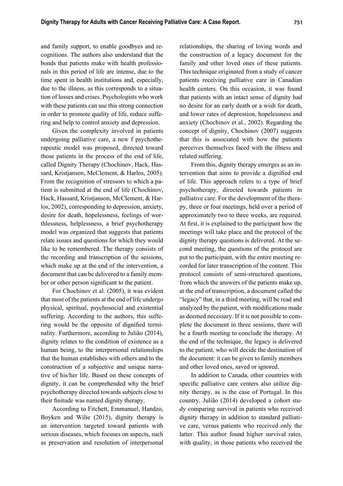and family support, to enable goodbyes and recognitions. The authors also understand that the bonds that patients make with health professionals in this period of life are intense, due to the time spent in health institutions and, especially, due to the illness, as this corresponds to a situation of losses and crises. Psychologists who work with these patients can use this strong connection in order to promote quality of life, reduce suffering and help to control anxiety and depression.

Given the complexity involved in patients undergoing palliative care, a new f psychotherapeutic model was proposed, directed toward those patients in the process of the end of life, called Dignity Therapy (Chochinov, Hack, Hassard, Kristjanson, McClement, & Harlos, 2005). From the recognition of stressors to which a patient is submitted at the end of life (Chochinov, Hack, Hassard, Kristjanson, McClement, & Harlos, 2002), corresponding to depression, anxiety, desire for death, hopelessness, feelings of worthlessness, helplessness, a brief psychotherapy model was organized that suggests that patients relate issues and questions for which they would like to be remembered. The therapy consists of the recording and transcription of the sessions, which make up at the end of the intervention, a document that can be delivered to a family member or other person significant to the patient.

For Chochinov et al. (2005), it was evident that most of the patients at the end of life undergo physical, spiritual, psychosocial and existential suffering. According to the authors, this suffering would be the opposite of dignified terminality. Furthermore, according to Julião (2014), dignity relates to the condition of existence as a human being, to the interpersonal relationships that the human establishes with others and to the construction of a subjective and unique narrative of his/her life. Based on these concepts of dignity, it can be comprehended why the brief psychotherapy directed towards subjects close to their finitude was named dignity therapy.

According to Fitchett, Emmanuel, Handzo, Boyken and Wilie (2015), dignity therapy is an intervention targeted toward patients with serious diseases, which focuses on aspects, such as preservation and resolution of interpersonal

relationships, the sharing of loving words and the construction of a legacy document for the family and other loved ones of these patients. This technique originated from a study of cancer patients receiving palliative care in Canadian health centers. On this occasion, it was found that patients with an intact sense of dignity had no desire for an early death or a wish for death, and lower rates of depression, hopelessness and anxiety (Chochinov et al., 2002). Regarding the concept of dignity, Chochinov (2007) suggests that this is associated with how the patients perceives themselves faced with the illness and related suffering.

From this, dignity therapy emerges as an intervention that aims to provide a dignified end of life. This approach refers to a type of brief psychotherapy, directed towards patients in palliative care. For the development of the therapy, three or four meetings, held over a period of approximately two to three weeks, are required. At first, it is explained to the participant how the meetings will take place and the protocol of the dignity therapy questions is delivered. At the second meeting, the questions of the protocol are put to the participant, with the entire meeting recorded for later transcription of the content. This protocol consists of semi-structured questions, from which the answers of the patients make up, at the end of transcription, a document called the "legacy" that, in a third meeting, will be read and analyzed by the patient, with modifications made as deemed necessary. If it is not possible to complete the document in three sessions, there will be a fourth meeting to conclude the therapy. At the end of the technique, the legacy is delivered to the patient, who will decide the destination of the document: it can be given to family members and other loved ones, saved or ignored.

In addition to Canada, other countries with specific palliative care centers also utilize dignity therapy, as is the case of Portugal. In this country, Julião (2014) developed a cohort study comparing survival in patients who received dignity therapy in addition to standard palliative care, versus patients who received only the latter. This author found higher survival rates, with quality, in those patients who received the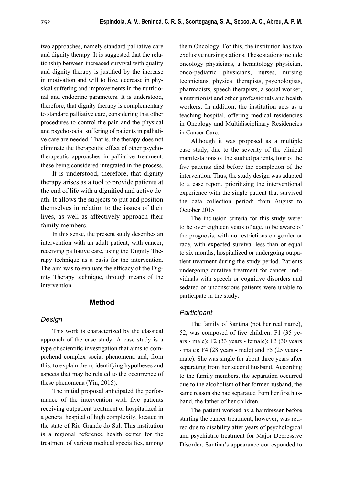two approaches, namely standard palliative care and dignity therapy. It is suggested that the relationship between increased survival with quality and dignity therapy is justified by the increase in motivation and will to live, decrease in physical suffering and improvements in the nutritional and endocrine parameters. It is understood, therefore, that dignity therapy is complementary to standard palliative care, considering that other procedures to control the pain and the physical and psychosocial suffering of patients in palliative care are needed. That is, the therapy does not eliminate the therapeutic effect of other psychotherapeutic approaches in palliative treatment, these being considered integrated in the process.

It is understood, therefore, that dignity therapy arises as a tool to provide patients at the end of life with a dignified and active death. It allows the subjects to put and position themselves in relation to the issues of their lives, as well as affectively approach their family members.

In this sense, the present study describes an intervention with an adult patient, with cancer, receiving palliative care, using the Dignity Therapy technique as a basis for the intervention. The aim was to evaluate the efficacy of the Dignity Therapy technique, through means of the intervention.

## **Method**

## *Design*

This work is characterized by the classical approach of the case study. A case study is a type of scientific investigation that aims to comprehend complex social phenomena and, from this, to explain them, identifying hypotheses and aspects that may be related to the occurrence of these phenomena (Yin, 2015).

The initial proposal anticipated the performance of the intervention with five patients receiving outpatient treatment or hospitalized in a general hospital of high complexity, located in the state of Rio Grande do Sul. This institution is a regional reference health center for the treatment of various medical specialties, among them Oncology. For this, the institution has two exclusive nursing stations. These stations include oncology physicians, a hematology physician, onco-pediatric physicians, nurses, nursing technicians, physical therapists, psychologists, pharmacists, speech therapists, a social worker, a nutritionist and other professionals and health workers. In addition, the institution acts as a teaching hospital, offering medical residencies in Oncology and Multidisciplinary Residencies in Cancer Care.

Although it was proposed as a multiple case study, due to the severity of the clinical manifestations of the studied patients, four of the five patients died before the completion of the intervention. Thus, the study design was adapted to a case report, prioritizing the interventional experience with the single patient that survived the data collection period: from August to October 2015.

The inclusion criteria for this study were: to be over eighteen years of age, to be aware of the prognosis, with no restrictions on gender or race, with expected survival less than or equal to six months, hospitalized or undergoing outpatient treatment during the study period. Patients undergoing curative treatment for cancer, individuals with speech or cognitive disorders and sedated or unconscious patients were unable to participate in the study.

## *Participant*

The family of Santina (not her real name), 52, was composed of five children:  $F1$  (35 years - male); F2 (33 years - female); F3 (30 years - male); F4 (28 years - male) and F5 (25 years male). She was single for about three years after separating from her second husband. According to the family members, the separation occurred due to the alcoholism of her former husband, the same reason she had separated from her first husband, the father of her children.

The patient worked as a hairdresser before starting the cancer treatment, however, was retired due to disability after years of psychological and psychiatric treatment for Major Depressive Disorder. Santina's appearance corresponded to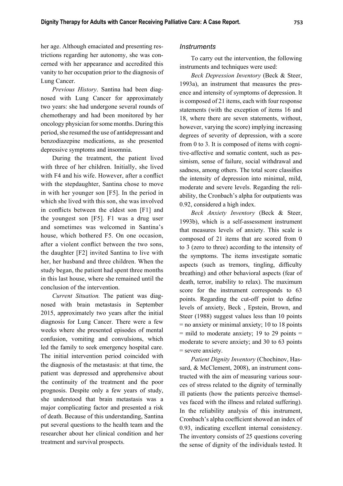her age. Although emaciated and presenting restrictions regarding her autonomy, she was concerned with her appearance and accredited this vanity to her occupation prior to the diagnosis of Lung Cancer.

*Previous History*. Santina had been diagnosed with Lung Cancer for approximately two years: she had undergone several rounds of chemotherapy and had been monitored by her oncology physician for some months. During this period, she resumed the use of antidepressant and benzodiazepine medications, as she presented depressive symptoms and insomnia.

During the treatment, the patient lived with three of her children. Initially, she lived with F4 and his wife. However, after a conflict with the stepdaughter, Santina chose to move in with her younger son [F5]. In the period in which she lived with this son, she was involved in conflicts between the eldest son [F1] and the youngest son [F5]. F1 was a drug user and sometimes was welcomed in Santina's house, which bothered F5. On one occasion, after a violent conflict between the two sons, the daughter [F2] invited Santina to live with her, her husband and three children. When the study began, the patient had spent three months in this last house, where she remained until the conclusion of the intervention.

*Current Situation.* The patient was diagnosed with brain metastasis in September 2015, approximately two years after the initial diagnosis for Lung Cancer. There were a few weeks where she presented episodes of mental confusion, vomiting and convulsions, which led the family to seek emergency hospital care. The initial intervention period coincided with the diagnosis of the metastasis: at that time, the patient was depressed and apprehensive about the continuity of the treatment and the poor prognosis. Despite only a few years of study, she understood that brain metastasis was a major complicating factor and presented a risk of death. Because of this understanding, Santina put several questions to the health team and the researcher about her clinical condition and her treatment and survival prospects.

#### *Instruments*

To carry out the intervention, the following instruments and techniques were used:

*Beck Depression Inventory* (Beck & Steer, 1993a), an instrument that measures the presence and intensity of symptoms of depression. It is composed of 21 items, each with four response statements (with the exception of items 16 and 18, where there are seven statements, without, however, varying the score) implying increasing degrees of severity of depression, with a score from 0 to 3. It is composed of items with cognitive-affective and somatic content, such as pessimism, sense of failure, social withdrawal and sadness, among others. The total score classifies the intensity of depression into minimal, mild, moderate and severe levels. Regarding the reliability, the Cronbach's alpha for outpatients was 0.92, considered a high index.

*Beck Anxiety Inventory* (Beck & Steer, 1993b), which is a self-assessment instrument that measures levels of anxiety. This scale is composed of 21 items that are scored from 0 to 3 (zero to three) according to the intensity of the symptoms. The items investigate somatic aspects (such as tremors, tingling, difficulty breathing) and other behavioral aspects (fear of death, terror, inability to relax). The maximum score for the instrument corresponds to 63 points. Regarding the cut-off point to define levels of anxiety, Beck , Epstein, Brown, and Steer (1988) suggest values less than 10 points = no anxiety or minimal anxiety; 10 to 18 points  $=$  mild to moderate anxiety; 19 to 29 points  $=$ moderate to severe anxiety; and 30 to 63 points = severe anxiety.

*Patient Dignity Inventory* (Chochinov, Hassard, & McClement, 2008), an instrument constructed with the aim of measuring various sources of stress related to the dignity of terminally ill patients (how the patients perceive themselves faced with the illness and related suffering). In the reliability analysis of this instrument, Cronbach's alpha coefficient showed an index of 0.93, indicating excellent internal consistency. The inventory consists of 25 questions covering the sense of dignity of the individuals tested. It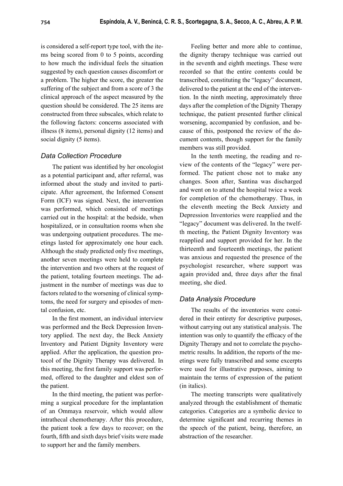is considered a self-report type tool, with the items being scored from 0 to 5 points, according to how much the individual feels the situation suggested by each question causes discomfort or a problem. The higher the score, the greater the suffering of the subject and from a score of 3 the clinical approach of the aspect measured by the question should be considered. The 25 items are constructed from three subscales, which relate to the following factors: concerns associated with illness (8 items), personal dignity (12 items) and social dignity (5 items).

## *Data Collection Procedure*

The patient was identified by her oncologist as a potential participant and, after referral, was informed about the study and invited to participate. After agreement, the Informed Consent Form (ICF) was signed. Next, the intervention was performed, which consisted of meetings carried out in the hospital: at the bedside, when hospitalized, or in consultation rooms when she was undergoing outpatient procedures. The meetings lasted for approximately one hour each. Although the study predicted only five meetings, another seven meetings were held to complete the intervention and two others at the request of the patient, totaling fourteen meetings. The adjustment in the number of meetings was due to factors related to the worsening of clinical symptoms, the need for surgery and episodes of mental confusion, etc.

In the first moment, an individual interview was performed and the Beck Depression Inventory applied. The next day, the Beck Anxiety Inventory and Patient Dignity Inventory were applied. After the application, the question protocol of the Dignity Therapy was delivered. In this meeting, the first family support was performed, offered to the daughter and eldest son of the patient.

In the third meeting, the patient was performing a surgical procedure for the implantation of an Ommaya reservoir, which would allow intrathecal chemotherapy. After this procedure, the patient took a few days to recover; on the fourth, fifth and sixth days brief visits were made to support her and the family members.

Feeling better and more able to continue, the dignity therapy technique was carried out in the seventh and eighth meetings. These were recorded so that the entire contents could be transcribed, constituting the "legacy" document, delivered to the patient at the end of the intervention. In the ninth meeting, approximately three days after the completion of the Dignity Therapy technique, the patient presented further clinical worsening, accompanied by confusion, and because of this, postponed the review of the document contents, though support for the family members was still provided.

In the tenth meeting, the reading and review of the contents of the "legacy" were performed. The patient chose not to make any changes. Soon after, Santina was discharged and went on to attend the hospital twice a week for completion of the chemotherapy. Thus, in the eleventh meeting the Beck Anxiety and Depression Inventories were reapplied and the "legacy" document was delivered. In the twelfth meeting, the Patient Dignity Inventory was reapplied and support provided for her. In the thirteenth and fourteenth meetings, the patient was anxious and requested the presence of the psychologist researcher, where support was again provided and, three days after the final meeting, she died.

## *Data Analysis Procedure*

The results of the inventories were considered in their entirety for descriptive purposes, without carrying out any statistical analysis. The intention was only to quantify the efficacy of the Dignity Therapy and not to correlate the psychometric results. In addition, the reports of the meetings were fully transcribed and some excerpts were used for illustrative purposes, aiming to maintain the terms of expression of the patient (in italics).

The meeting transcripts were qualitatively analyzed through the establishment of thematic categories. Categories are a symbolic device to determine significant and recurring themes in the speech of the patient, being, therefore, an abstraction of the researcher.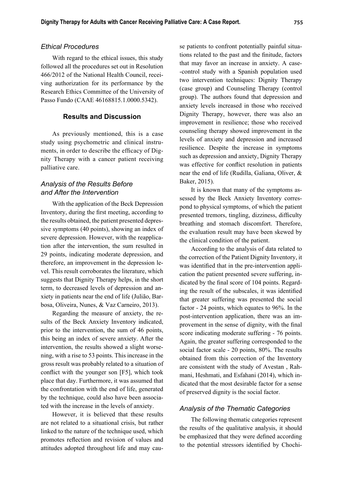### *Ethical Procedures*

With regard to the ethical issues, this study followed all the procedures set out in Resolution 466/2012 of the National Health Council, receiving authorization for its performance by the Research Ethics Committee of the University of Passo Fundo (CAAE 46168815.1.0000.5342).

## **Results and Discussion**

As previously mentioned, this is a case study using psychometric and clinical instruments, in order to describe the efficacy of Dignity Therapy with a cancer patient receiving palliative care.

## *Analysis of the Results Before and After the Intervention*

With the application of the Beck Depression Inventory, during the first meeting, according to the results obtained, the patient presented depressive symptoms (40 points), showing an index of severe depression. However, with the reapplication after the intervention, the sum resulted in 29 points, indicating moderate depression, and therefore, an improvement in the depression level. This result corroborates the literature, which suggests that Dignity Therapy helps, in the short term, to decreased levels of depression and anxiety in patients near the end of life (Julião, Barbosa, Oliveira, Nunes, & Vaz Carneiro, 2013).

Regarding the measure of anxiety, the results of the Beck Anxiety Inventory indicated, prior to the intervention, the sum of 46 points, this being an index of severe anxiety. After the intervention, the results showed a slight worsening, with a rise to 53 points. This increase in the gross result was probably related to a situation of conflict with the younger son  $[F5]$ , which took place that day. Furthermore, it was assumed that the confrontation with the end of life, generated by the technique, could also have been associated with the increase in the levels of anxiety.

However, it is believed that these results are not related to a situational crisis, but rather linked to the nature of the technique used, which promotes reflection and revision of values and attitudes adopted throughout life and may cause patients to confront potentially painful situations related to the past and the finitude, factors that may favor an increase in anxiety. A case- -control study with a Spanish population used two intervention techniques: Dignity Therapy (case group) and Counseling Therapy (control group). The authors found that depression and anxiety levels increased in those who received Dignity Therapy, however, there was also an improvement in resilience; those who received counseling therapy showed improvement in the levels of anxiety and depression and increased resilience. Despite the increase in symptoms such as depression and anxiety, Dignity Therapy was effective for conflict resolution in patients near the end of life (Rudilla, Galiana, Oliver, & Baker, 2015).

It is known that many of the symptoms assessed by the Beck Anxiety Inventory correspond to physical symptoms, of which the patient presented tremors, tingling, dizziness, difficulty breathing and stomach discomfort. Therefore, the evaluation result may have been skewed by the clinical condition of the patient.

According to the analysis of data related to the correction of the Patient Dignity Inventory, it was identified that in the pre-intervention application the patient presented severe suffering, indicated by the final score of 104 points. Regarding the result of the subscales, it was identified that greater suffering was presented the social factor - 24 points, which equates to 96%. In the post-intervention application, there was an improvement in the sense of dignity, with the final score indicating moderate suffering - 76 points. Again, the greater suffering corresponded to the social factor scale - 20 points, 80%. The results obtained from this correction of the Inventory are consistent with the study of Avestan , Rahmani, Heshmati, and Esfahani (2014), which indicated that the most desirable factor for a sense of preserved dignity is the social factor.

## *Analysis of the Thematic Categories*

The following thematic categories represent the results of the qualitative analysis, it should be emphasized that they were defined according to the potential stressors identified by Chochi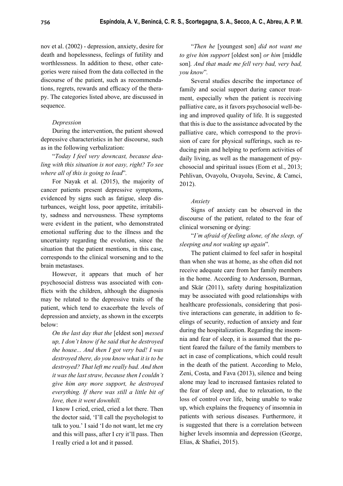nov et al. (2002) - depression, anxiety, desire for death and hopelessness, feelings of futility and worthlessness. In addition to these, other categories were raised from the data collected in the discourse of the patient, such as recommendations, regrets, rewards and efficacy of the therapy. The categories listed above, are discussed in sequence.

## *Depression*

During the intervention, the patient showed depressive characteristics in her discourse, such as in the following verbalization:

"*Today I feel very downcast, because dealing with this situation is not easy, right? To see where all of this is going to lead*"*.*

For Nayak et al. (2015), the majority of cancer patients present depressive symptoms, evidenced by signs such as fatigue, sleep disturbances, weight loss, poor appetite, irritability, sadness and nervousness. These symptoms were evident in the patient, who demonstrated emotional suffering due to the illness and the uncertainty regarding the evolution, since the situation that the patient mentions, in this case, corresponds to the clinical worsening and to the brain metastases.

However, it appears that much of her psychosocial distress was associated with conflicts with the children, although the diagnosis may be related to the depressive traits of the patient, which tend to exacerbate the levels of depression and anxiety, as shown in the excerpts below:

*On the last day that the* [eldest son] *messed up, I don't know if he said that he destroyed the house... And then I got very bad! I was destroyed there, do you know what it is to be destroyed? That left me really bad. And then it was the last straw, because then I couldn't give him any more support, he destroyed everything. If there was still a little bit of love, then it went downhill.*

I know I cried, cried, cried a lot there. Then the doctor said, 'I'll call the psychologist to talk to you.' I said 'I do not want, let me cry and this will pass, after I cry it'll pass. Then I really cried a lot and it passed.

"*Then he* [youngest son] *did not want me to give him support* [oldest son] *or him* [middle son]*. And that made me fell very bad, very bad, you know*"*.*

Several studies describe the importance of family and social support during cancer treatment, especially when the patient is receiving palliative care, as it favors psychosocial well-being and improved quality of life. It is suggested that this is due to the assistance advocated by the palliative care, which correspond to the provision of care for physical sufferings, such as reducing pain and helping to perform activities of daily living, as well as the management of psychosocial and spiritual issues (Eom et al., 2013; Pehlivan, Ovayolu, Ovayolu, Sevinc, & Camci, 2012).

#### *Anxiety*

Signs of anxiety can be observed in the discourse of the patient, related to the fear of clinical worsening or dying:

"*I'm afraid of feeling alone, of the sleep, of sleeping and not waking up again*"*.*

The patient claimed to feel safer in hospital than when she was at home, as she often did not receive adequate care from her family members in the home. According to Andersson, Burman, and Skär (2011), safety during hospitalization may be associated with good relationships with healthcare professionals, considering that positive interactions can generate, in addition to feelings of security, reduction of anxiety and fear during the hospitalization. Regarding the insomnia and fear of sleep, it is assumed that the patient feared the failure of the family members to act in case of complications, which could result in the death of the patient. According to Melo, Zeni, Costa, and Fava (2013), silence and being alone may lead to increased fantasies related to the fear of sleep and, due to relaxation, to the loss of control over life, being unable to wake up, which explains the frequency of insomnia in patients with serious diseases. Furthermore, it is suggested that there is a correlation between higher levels insomnia and depression (George, Elias,  $&$  Shafiei, 2015).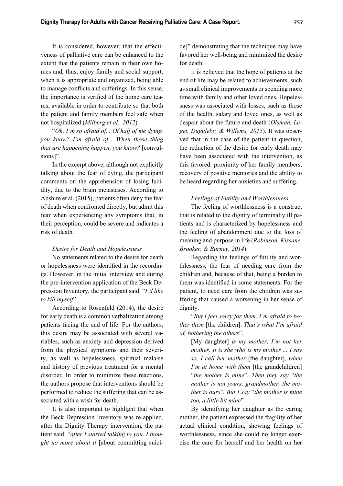It is considered, however, that the effectiveness of palliative care can be enhanced to the extent that the patients remain in their own homes and, thus, enjoy family and social support, when it is appropriate and organized, being able to manage conflicts and sufferings. In this sense, the importance is verified of the home care teams, available in order to contribute so that both the patient and family members feel safe when not hospitalized (*Milberg et al., 2012*).

"*Oh, I'm so afraid of... Of half of me dying, you know? I'm afraid of... When those thing that are happening happen, you know?* [convulsions]"*.*

In the excerpt above, although not explicitly talking about the fear of dying, the participant comments on the apprehension of losing lucidity, due to the brain metastases. According to Abshire et al. (2015), patients often deny the fear of death when confronted directly, but admit this fear when experiencing any symptoms that, in their perception, could be severe and indicates a risk of death.

#### *Desire for Death and Hopelessness*

No statements related to the desire for death or hopelessness were identified in the recordings. However, in the initial interview and during the pre-intervention application of the Beck Depression Inventory, the participant said: "*I'd like to kill myself*".

According to Rosenfeld (2014), the desire for early death is a common verbalization among patients facing the end of life. For the authors, this desire may be associated with several variables, such as anxiety and depression derived from the physical symptoms and their severity, as well as hopelessness, spiritual malaise and history of previous treatment for a mental disorder. In order to minimize these reactions, the authors propose that interventions should be performed to reduce the suffering that can be associated with a wish for death.

It is also important to highlight that when the Beck Depression Inventory was re-applied, after the Dignity Therapy intervention, the patient said: "*after I started talking to you, I thought no more about it* [about committing suicide]" demonstrating that the technique may have favored her well-being and minimized the desire for death.

It is believed that the hope of patients at the end of life may be related to achievements, such as small clinical improvements or spending more time with family and other loved ones. Hopelessness was associated with losses, such as those of the health, salary and loved ones, as well as despair about the future and death (*Olsman, Leget, Duggleby, & Willems, 2015*). It was observed that in the case of the patient in question, the reduction of the desire for early death may have been associated with the intervention, as this favored: proximity of her family members, recovery of positive memories and the ability to be heard regarding her anxieties and suffering.

#### *Feelings of Futility and Worthlessness*

The feeling of worthlessness is a construct that is related to the dignity of terminally ill patients and is characterized by hopelessness and the feeling of abandonment due to the loss of meaning and purpose in life (*Robinson, Kissane, Brooker, & Burney, 2014*).

Regarding the feelings of futility and worthlessness, the fear of needing care from the children and, because of that, being a burden to them was identified in some statements. For the patient, to need care from the children was suffering that caused a worsening in her sense of dignity.

"*But I feel sorry for them, I'm afraid to bother them* [the children]. *That's what I'm afraid of, bothering the others*"*.*

[My daughter] *is my mother, I'm not her mother. It is she who is my mother ... I say so, I call her mother* [the daughter], *when I'm at home with them* [the grandchildren] "*the mother is mine*"*. Then they say* "*the mother is not yours, grandmother, the mother is ours*"*. But I say* "*the mother is mine too, a little bit mine*"*.*

By identifying her daughter as the caring mother, the patient expressed the fragility of her actual clinical condition, showing feelings of worthlessness, since she could no longer exercise the care for herself and her health on her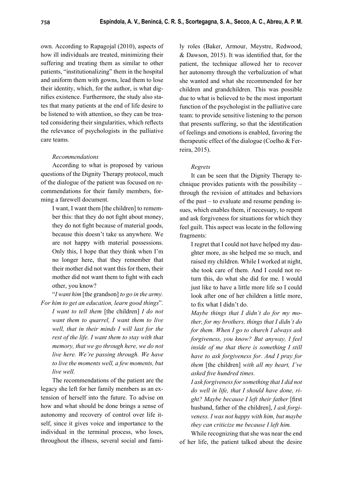own. According to Rapagojal (2010), aspects of how ill individuals are treated, minimizing their suffering and treating them as similar to other patients, "institutionalizing" them in the hospital and uniform them with gowns, lead them to lose their identity, which, for the author, is what dignifies existence. Furthermore, the study also states that many patients at the end of life desire to be listened to with attention, so they can be treated considering their singularities, which reflects the relevance of psychologists in the palliative care teams.

## *Recommendations*

According to what is proposed by various questions of the Dignity Therapy protocol, much of the dialogue of the patient was focused on recommendations for their family members, forming a farewell document.

I want, I want them [the children] to remember this: that they do not fight about money, they do not fight because of material goods, because this doesn't take us anywhere. We are not happy with material possessions. Only this, I hope that they think when I'm no longer here, that they remember that their mother did not want this for them, their mother did not want them to fight with each other, you know?

"*I want him* [the grandson] *to go in the army.* 

*For him to get an education, learn good things*"*. I want to tell them* [the children] *I do not want them to quarrel, I want them to live well, that in their minds I will last for the rest of the life. I want them to stay with that memory, that we go through here, we do not live here. We're passing through. We have to live the moments well, a few moments, but live well.*

The recommendations of the patient are the legacy she left for her family members as an extension of herself into the future. To advise on how and what should be done brings a sense of autonomy and recovery of control over life itself, since it gives voice and importance to the individual in the terminal process, who loses, throughout the illness, several social and family roles (Baker, Armour, Meystre, Redwood,  $&$  Dawson, 2015). It was identified that, for the patient, the technique allowed her to recover her autonomy through the verbalization of what she wanted and what she recommended for her children and grandchildren. This was possible due to what is believed to be the most important function of the psychologist in the palliative care team: to provide sensitive listening to the person that presents suffering, so that the identification of feelings and emotions is enabled, favoring the therapeutic effect of the dialogue (Coelho & Ferreira, 2015).

## *Regrets*

It can be seen that the Dignity Therapy technique provides patients with the possibility – through the revision of attitudes and behaviors of the past – to evaluate and resume pending issues, which enables them, if necessary, to repent and ask forgiveness for situations for which they feel guilt. This aspect was locate in the following fragments:

I regret that I could not have helped my daughter more, as she helped me so much, and raised my children. While I worked at night, she took care of them. And I could not return this, do what she did for me. I would just like to have a little more life so I could look after one of her children a little more, to fix what I didn't do.

*Maybe things that I didn't do for my mother, for my brothers, things that I didn't do for them. When I go to church I always ask forgiveness, you know? But anyway, I feel inside of me that there is something I still have to ask forgiveness for. And I pray for them* [the children] *with all my heart, I've asked fi ve hundred times.*

*I ask forgiveness for something that I did not do well in life, that I should have done, ri*ght? Maybe because I left their father [first husband, father of the children], *I ask forgiveness. I was not happy with him, but maybe they can criticize me because I left him.*

While recognizing that she was near the end of her life, the patient talked about the desire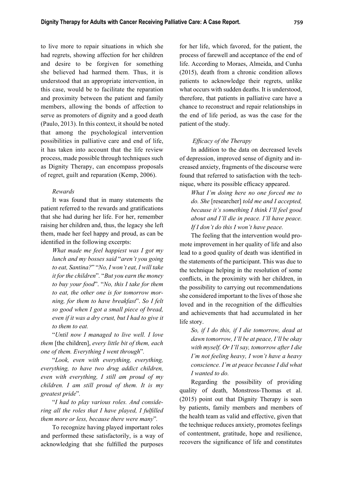to live more to repair situations in which she had regrets, showing affection for her children and desire to be forgiven for something she believed had harmed them. Thus, it is understood that an appropriate intervention, in this case, would be to facilitate the reparation and proximity between the patient and family members, allowing the bonds of affection to serve as promoters of dignity and a good death (Paulo, 2013). In this context, it should be noted that among the psychological intervention possibilities in palliative care and end of life, it has taken into account that the life review process, made possible through techniques such as Dignity Therapy, can encompass proposals of regret, guilt and reparation (Kemp, 2006).

#### *Rewards*

It was found that in many statements the patient referred to the rewards and gratifications that she had during her life. For her, remember raising her children and, thus, the legacy she left them, made her feel happy and proud, as can be identified in the following excerpts:

*What made me feel happiest was I got my lunch and my bosses said* "*aren't you going to eat, Santina?*" "*No, I won't eat, I will take it for the children*"*.* "*But you earn the money to buy your food*". "*No, this I take for them to eat, the other one is for tomorrow morning, for them to have breakfast*". *So I felt so good when I got a small piece of bread, even if it was a dry crust, but I had to give it to them to eat.*

"*Until now I managed to live well. I love them* [the children], *every little bit of them, each one of them. Everything I went through*"*.*

"*Look, even with everything, everything, everything, to have two drug addict children, even with everything, I still am proud of my children. I am still proud of them. It is my greatest pride*"*.*

"*I had to play various roles. And considering all the roles that I have played, I fulfilled them more or less, because there were many*"*.*

To recognize having played important roles and performed these satisfactorily, is a way of acknowledging that she fulfilled the purposes for her life, which favored, for the patient, the process of farewell and acceptance of the end of life. According to Moraes, Almeida, and Cunha (2015), death from a chronic condition allows patients to acknowledge their regrets, unlike what occurs with sudden deaths. It is understood, therefore, that patients in palliative care have a chance to reconstruct and repair relationships in the end of life period, as was the case for the patient of the study.

### *Efficacy of the Therapy*

In addition to the data on decreased levels of depression, improved sense of dignity and increased anxiety, fragments of the discourse were found that referred to satisfaction with the technique, where its possible efficacy appeared.

*What I'm doing here no one forced me to do. She* [researcher] *told me and I accepted, because it's something I think I'll feel good about and I'll die in peace. I'll have peace. If I don't do this I won't have peace.*

The feeling that the intervention would promote improvement in her quality of life and also lead to a good quality of death was identified in the statements of the participant. This was due to the technique helping in the resolution of some conflicts, in the proximity with her children, in the possibility to carrying out recommendations she considered important to the lives of those she loved and in the recognition of the difficulties and achievements that had accumulated in her life story.

*So, if I do this, if I die tomorrow, dead at dawn tomorrow, I'll be at peace, I'll be okay with myself. Or I'll say, tomorrow after I die I'm not feeling heavy, I won't have a heavy conscience. I'm at peace because I did what I wanted to do.*

Regarding the possibility of providing quality of death, Monstross-Thomas et al. (2015) point out that Dignity Therapy is seen by patients, family members and members of the health team as valid and effective, given that the technique reduces anxiety, promotes feelings of contentment, gratitude, hope and resilience, recovers the significance of life and constitutes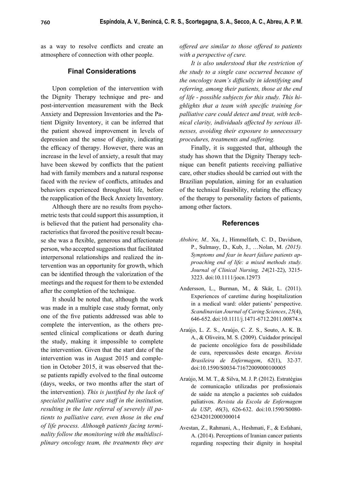as a way to resolve conflicts and create an atmosphere of connection with other people.

### **Final Considerations**

Upon completion of the intervention with the Dignity Therapy technique and pre- and post-intervention measurement with the Beck Anxiety and Depression Inventories and the Patient Dignity Inventory, it can be inferred that the patient showed improvement in levels of depression and the sense of dignity, indicating the efficacy of therapy. However, there was an increase in the level of anxiety, a result that may have been skewed by conflicts that the patient had with family members and a natural response faced with the review of conflicts, attitudes and behaviors experienced throughout life, before the reapplication of the Beck Anxiety Inventory.

Although there are no results from psychometric tests that could support this assumption, it is believed that the patient had personality characteristics that favored the positive result because she was a flexible, generous and affectionate person, who accepted suggestions that facilitated interpersonal relationships and realized the intervention was an opportunity for growth, which can be identified through the valorization of the meetings and the request for them to be extended after the completion of the technique.

It should be noted that, although the work was made in a multiple case study format, only one of the five patients addressed was able to complete the intervention, as the others presented clinical complications or death during the study, making it impossible to complete the intervention. Given that the start date of the intervention was in August 2015 and completion in October 2015, it was observed that these patients rapidly evolved to the final outcome (days, weeks, or two months after the start of the intervention). This is justified by the lack of *specialist palliative care staff in the institution, resulting in the late referral of severely ill patients to palliative care, even those in the end of life process. Although patients facing terminality follow the monitoring with the multidisciplinary oncology team, the treatments they are* 

*offered are similar to those offered to patients with a perspective of cure.*

*It is also understood that the restriction of the study to a single case occurred because of the oncology team's difficulty in identifying and referring, among their patients, those at the end of life - possible subjects for this study. This highlights that a team with specific training for palliative care could detect and treat, with technical clarity, individuals affected by serious illnesses, avoiding their exposure to unnecessary procedures, treatments and suffering.*

Finally, it is suggested that, although the study has shown that the Dignity Therapy technique can benefit patients receiving palliative care, other studies should be carried out with the Brazilian population, aiming for an evaluation of the technical feasibility, relating the efficacy of the therapy to personality factors of patients, among other factors.

#### **References**

- *Abshire, M.,* Xu, J., Himmelfarb, C. D., Davidson, P., Sulmasy, D., Kub, J., …Nolan, M. *(2015). Symptoms and fear in heart failure patients approaching end of life: a mixed methods study. Journal of Clinical Nursing, 24*(21-22), 3215- 3223. doi:10.1111/jocn.12973
- Andersson, L., Burman, M., & Skär, L. (2011). Experiences of caretime during hospitalization in a medical ward: older patients' perspective. *Scandinavian Journal of Caring Sciences*, *25*(4), 646-652. doi:10.1111/j.1471-6712.2011.00874.x
- Araújo, L. Z. S., Araújo, C. Z. S., Souto, A. K. B. A., & Oliveira, M. S. (2009). Cuidador principal de paciente oncológico fora de possibilidade de cura, repercussões deste encargo. *Revista Brasileira de Enfermagem*, *62*(1), 32-37. doi:10.1590/S0034-71672009000100005
- Araújo, M. M. T., & Silva, M. J. P. (2012). Estratégias de comunicação utilizadas por profissionais de saúde na atenção a pacientes sob cuidados paliativos. *Revista da Escola de Enfermagem da USP*, *46*(3), 626-632. doi:10.1590/S0080- 62342012000300014
- Avestan, Z., Rahmani, A., Heshmati, F., & Esfahani, A. (2014). Perceptions of Iranian cancer patients regarding respecting their dignity in hospital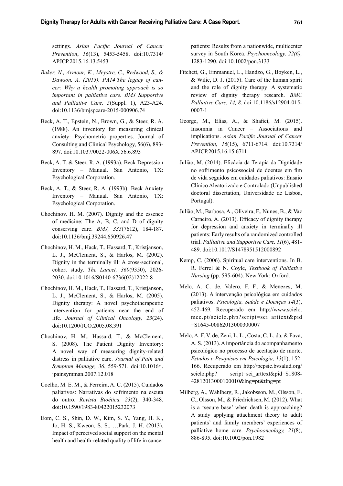settings. Asian Pacific Journal of Cancer *Prevention*, *16*(13), 5453-5458. doi:10.7314/ APJCP.2015.16.13.5453

- *Baker, N., Armour, K., Meystre, C., Redwood, S., & Dawson, A. (2015). PA14 The legacy of cancer: Why a health promoting approach is so important in palliative care. BMJ Supportive and Palliative Care, 5*(Suppl. 1), A23-A24. doi:10.1136/bmjspcare-2015-000906.74
- Beck, A. T., Epstein, N., Brown, G., & Steer, R. A. (1988). An inventory for measuring clinical anxiety: Psychometric properties. Journal of Consulting and Clinical Psychology, 56(6), 893- 897. doi:10.1037/0022-006X.56.6.893
- Beck, A. T. & Steer, R. A. (1993a). Beck Depression Inventory – Manual. San Antonio, TX: Psychological Corporation.
- Beck, A. T., & Steer, R. A. (1993b). Beck Anxiety Inventory – Manual. San Antonio, TX: Psychological Corporation.
- Chochinov. H. M. (2007). Dignity and the essence of medicine: The A, B, C, and D of dignity conserving care. *BMJ, 335*(7612), 184-187. doi:10.1136/bmj.39244.650926.47
- Chochinov, H. M., Hack, T., Hassard, T., Kristjanson, L. J., McClement, S., & Harlos, M. (2002). Dignity in the terminally ill: A cross-sectional, cohort study. *The Lancet, 360*(9350), 2026- 2030. doi:10.1016/S0140-6736(02)12022-8
- Chochinov, H. M., Hack, T., Hassard, T., Kristjanson, L. J., McClement, S., & Harlos, M. (2005). Dignity therapy: A novel psychotherapeutic intervention for patients near the end of life. *Journal of Clinical Oncology, 23*(24). doi:10.1200/JCO.2005.08.391
- Chochinov, H. M., Hassard, T., & McClement, S. (2008). The Patient Dignity Inventory: A novel way of measuring dignity-related distress in palliative care. *Journal of Pain and Symptom Manage, 36*, 559-571. doi:10.1016/j. jpainsymman.2007.12.018
- Coelho, M. E. M., & Ferreira, A. C. (2015). Cuidados paliativos: Narrativas do sofrimento na escuta do outro. *Revista Bioética, 23*(2), 340-348. doi:10.1590/1983-80422015232073
- Eom, C. S., Shin, D. W., Kim, S. Y., Yang, H. K., Jo, H. S., Kweon, S. S., …Park, J. H. (2013). Impact of perceived social support on the mental health and health-related quality of life in cancer

patients: Results from a nationwide, multicenter survey in South Korea. *Psychooncology, 22(6),*  1283-1290. doi:10.1002/pon.3133

- Fitchett, G., Emmanuel, L., Handzo, G., Boyken, L., & Wilie, D. J. (2015). Care of the human spirit and the role of dignity therapy: A systematic review of dignity therapy research. *BMC Palliative Care, 14, 8*. doi:10.1186/s12904-015- 0007-1
- George, M., Elias, A., & Shafiei, M. (2015). Insomnia in Cancer – Associations and implications. Asian Pacific Journal of Cancer *Prevention, 16*(15), 6711-6714. doi:10.7314/ APJCP.2015.16.15.6711
- Julião, M. (2014). Eficácia da Terapia da Dignidade no sofrimento psicossocial de doentes em fim de vida seguidos em cuidados paliativos: Ensaio Clínico Aleatorizado e Controlado (Unpublished doctoral dissertation, Universidade de Lisboa, Portugal).
- Julião, M., Barbosa, A., Oliveira, F., Nunes, B., & Vaz Carneiro, A. (2013). Efficacy of dignity therapy for depression and anxiety in terminally ill patients: Early results of a randomized controlled trial. *Palliative and Supportive Care, 11*(6), 481- 489. doi:10.1017/S1478951512000892
- Kemp, C. (2006). Spiritual care interventions. In B. R. Ferrel & N. Coyle, *Textbook of Palliative Nursing* (pp. 595-604). New York: Oxford.
- Melo, A. C. de, Valero, F. F., & Menezes, M. (2013). A intervenção psicológica em cuidados paliativos. *Psicologia, Saúde e Doenças 14*(3), 452-469. Recuperado em http://www.scielo. mec.pt/scielo.php?script=sci\_arttext&pid =S1645-00862013000300007
- Melo, A. F. V. de, Zeni, L. L., Costa, C. L. da, & Fava, A. S. (2013). A importância do acompanhamento psicológico no processo de aceitação de morte. *Estudos e Pesquisas em Psicologia, 13*(1), 152- 166. Recuperado em http://pepsic.bvsalud.org/ scielo.php? script=sci\_arttext&pid=S1808-42812013000100010&lng=pt&tlng=pt
- Milberg, A., Wåhlberg, R., Jakobsson, M., Olsson, E. C., Olsson, M., & Friedrichsen, M. (2012). What is a 'secure base' when death is approaching? A study applying attachment theory to adult patients' and family members' experiences of palliative home care. *Psychooncology, 21*(8), 886-895. doi:10.1002/pon.1982